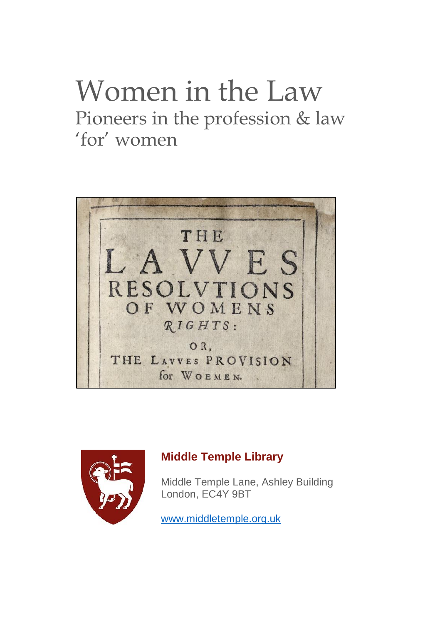# Women in the Law Pioneers in the profession & law 'for' women





#### **Middle Temple Library**

Middle Temple Lane, Ashley Building London, EC4Y 9BT

[www.middletemple.org.uk](http://www.middletemple.org.uk/)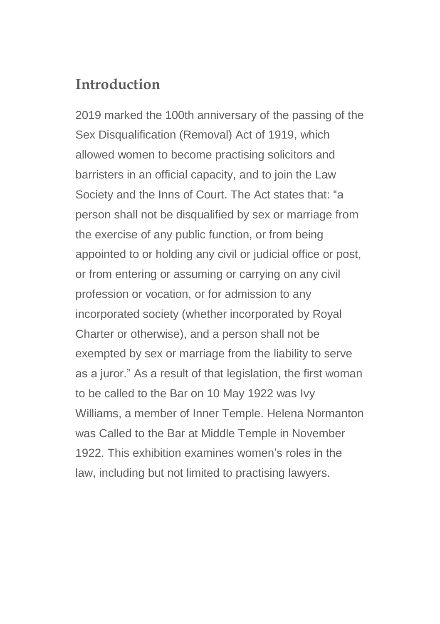## **Introduction**

2019 marked the 100th anniversary of the passing of the Sex Disqualification (Removal) Act of 1919, which allowed women to become practising solicitors and barristers in an official capacity, and to join the Law Society and the Inns of Court. The Act states that: "a person shall not be disqualified by sex or marriage from the exercise of any public function, or from being appointed to or holding any civil or judicial office or post, or from entering or assuming or carrying on any civil profession or vocation, or for admission to any incorporated society (whether incorporated by Royal Charter or otherwise), and a person shall not be exempted by sex or marriage from the liability to serve as a juror." As a result of that legislation, the first woman to be called to the Bar on 10 May 1922 was Ivy Williams, a member of Inner Temple. Helena Normanton was Called to the Bar at Middle Temple in November 1922. This exhibition examines women's roles in the law, including but not limited to practising lawyers.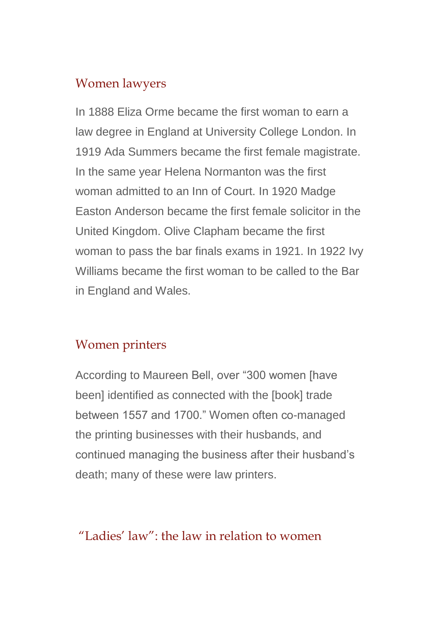#### Women lawyers

In 1888 Eliza Orme became the first woman to earn a law degree in England at University College London. In 1919 Ada Summers became the first female magistrate. In the same year Helena Normanton was the first woman admitted to an Inn of Court. In 1920 Madge Easton Anderson became the first female solicitor in the United Kingdom. Olive Clapham became the first woman to pass the bar finals exams in 1921. In 1922 Ivy Williams became the first woman to be called to the Bar in England and Wales.

#### Women printers

According to Maureen Bell, over "300 women [have been] identified as connected with the [book] trade between 1557 and 1700." Women often co-managed the printing businesses with their husbands, and continued managing the business after their husband's death; many of these were law printers.

## "Ladies' law": the law in relation to women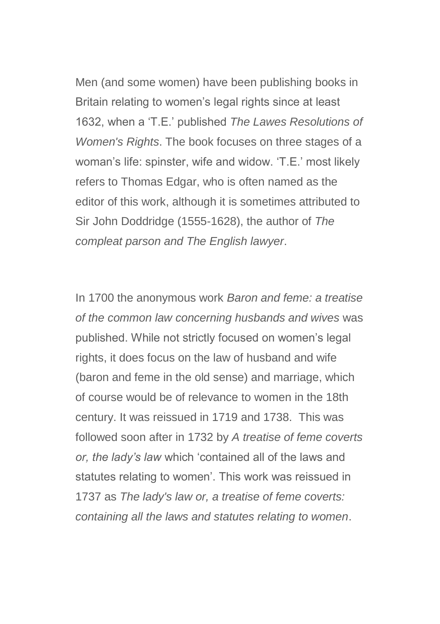Men (and some women) have been publishing books in Britain relating to women's legal rights since at least 1632, when a 'T.E.' published *The Lawes Resolutions of Women's Rights*. The book focuses on three stages of a woman's life: spinster, wife and widow. 'T.E.' most likely refers to Thomas Edgar, who is often named as the editor of this work, although it is sometimes attributed to Sir John Doddridge (1555-1628), the author of *The compleat parson and The English lawyer*.

In 1700 the anonymous work *Baron and feme: a treatise of the common law concerning husbands and wives* was published. While not strictly focused on women's legal rights, it does focus on the law of husband and wife (baron and feme in the old sense) and marriage, which of course would be of relevance to women in the 18th century. It was reissued in 1719 and 1738. This was followed soon after in 1732 by *A treatise of feme coverts or, the lady's law* which 'contained all of the laws and statutes relating to women'. This work was reissued in 1737 as *The lady's law or, a treatise of feme coverts: containing all the laws and statutes relating to women*.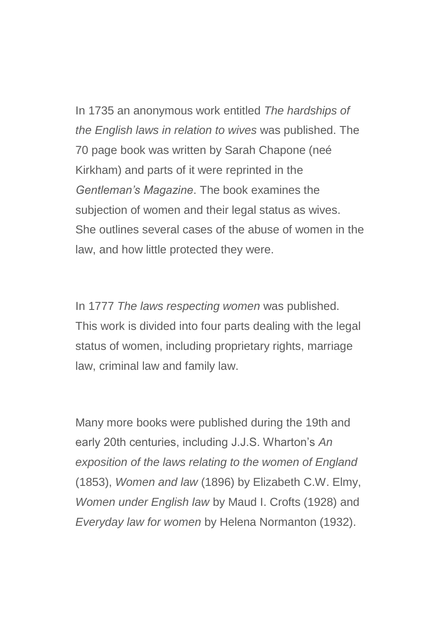In 1735 an anonymous work entitled *The hardships of the English laws in relation to wives* was published. The 70 page book was written by Sarah Chapone (neé Kirkham) and parts of it were reprinted in the *Gentleman's Magazine*. The book examines the subjection of women and their legal status as wives. She outlines several cases of the abuse of women in the law, and how little protected they were.

In 1777 *The laws respecting women* was published. This work is divided into four parts dealing with the legal status of women, including proprietary rights, marriage law, criminal law and family law.

Many more books were published during the 19th and early 20th centuries, including J.J.S. Wharton's *An exposition of the laws relating to the women of England* (1853), *Women and law* (1896) by Elizabeth C.W. Elmy, *Women under English law* by Maud I. Crofts (1928) and *Everyday law for women* by Helena Normanton (1932).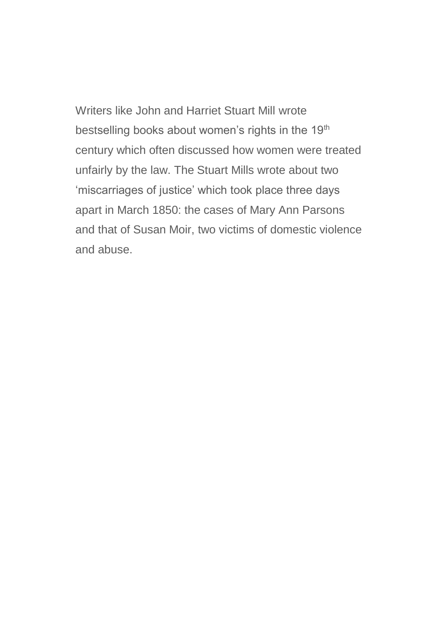Writers like John and Harriet Stuart Mill wrote bestselling books about women's rights in the 19<sup>th</sup> century which often discussed how women were treated unfairly by the law. The Stuart Mills wrote about two 'miscarriages of justice' which took place three days apart in March 1850: the cases of Mary Ann Parsons and that of Susan Moir, two victims of domestic violence and abuse.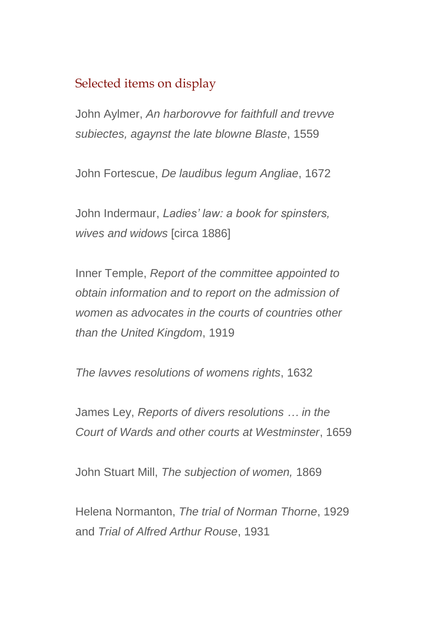### Selected items on display

John Aylmer, *An harborovve for faithfull and trevve subiectes, agaynst the late blowne Blaste*, 1559

John Fortescue, *De laudibus legum Angliae*, 1672

John Indermaur, *Ladies' law: a book for spinsters, wives and widows* [circa 1886]

Inner Temple, *Report of the committee appointed to obtain information and to report on the admission of women as advocates in the courts of countries other than the United Kingdom*, 1919

*The lavves resolutions of womens rights*, 1632

James Ley, *Reports of divers resolutions … in the Court of Wards and other courts at Westminster*, 1659

John Stuart Mill, *The subjection of women,* 1869

Helena Normanton, *The trial of Norman Thorne*, 1929 and *Trial of Alfred Arthur Rouse*, 1931